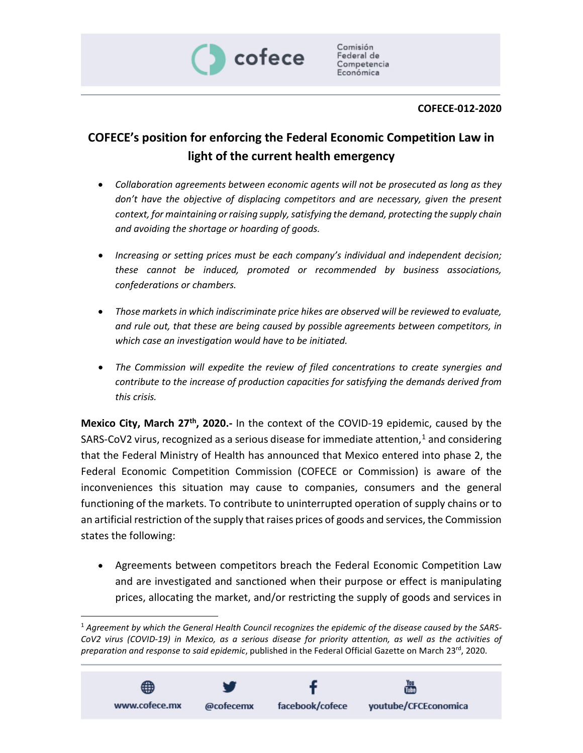

## **COFECE-012-2020**

## **COFECE's position for enforcing the Federal Economic Competition Law in light of the current health emergency**

- *Collaboration agreements between economic agents will not be prosecuted as long as they don't have the objective of displacing competitors and are necessary, given the present context, for maintaining orraising supply,satisfying the demand, protecting the supply chain and avoiding the shortage or hoarding of goods.*
- *Increasing or setting prices must be each company's individual and independent decision; these cannot be induced, promoted or recommended by business associations, confederations or chambers.*
- *Those markets in which indiscriminate price hikes are observed will be reviewed to evaluate, and rule out, that these are being caused by possible agreements between competitors, in which case an investigation would have to be initiated.*
- *The Commission will expedite the review of filed concentrations to create synergies and contribute to the increase of production capacities for satisfying the demands derived from this crisis.*

**Mexico City, March 27th, 2020.-** In the context of the COVID-19 epidemic, caused by the SARS-CoV2 virus, recognized as a serious disease for immediate attention,<sup>[1](#page-0-0)</sup> and considering that the Federal Ministry of Health has announced that Mexico entered into phase 2, the Federal Economic Competition Commission (COFECE or Commission) is aware of the inconveniences this situation may cause to companies, consumers and the general functioning of the markets. To contribute to uninterrupted operation of supply chains or to an artificial restriction of the supply that raises prices of goods and services, the Commission states the following:

• Agreements between competitors breach the Federal Economic Competition Law and are investigated and sanctioned when their purpose or effect is manipulating prices, allocating the market, and/or restricting the supply of goods and services in

<span id="page-0-0"></span> $<sup>1</sup>$  Agreement by which the General Health Council recognizes the epidemic of the disease caused by the SARS-</sup> CoV2 virus (COVID-19) in Mexico, as a serious disease for priority attention, as well as the activities of *preparation and response to said epidemic*, published in the Federal Official Gazette on March 23rd, 2020.

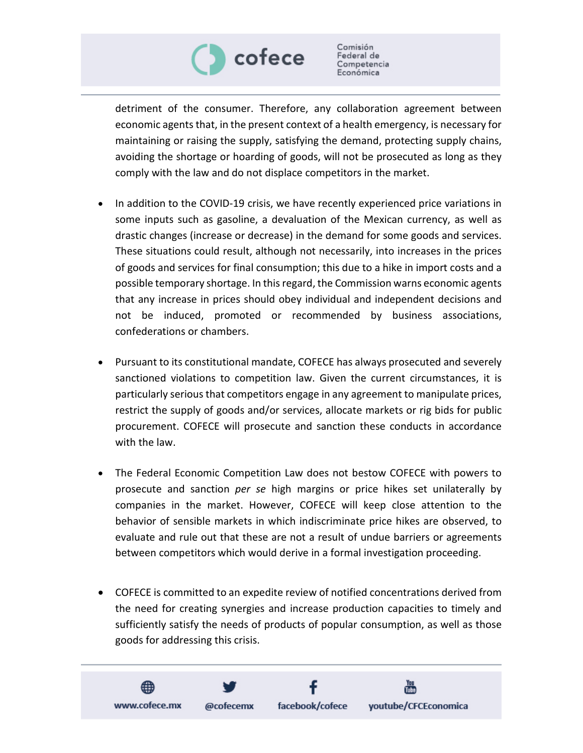

Comisión Federal de Competencia Económica

detriment of the consumer. Therefore, any collaboration agreement between economic agents that, in the present context of a health emergency, is necessary for maintaining or raising the supply, satisfying the demand, protecting supply chains, avoiding the shortage or hoarding of goods, will not be prosecuted as long as they comply with the law and do not displace competitors in the market.

- In addition to the COVID-19 crisis, we have recently experienced price variations in some inputs such as gasoline, a devaluation of the Mexican currency, as well as drastic changes (increase or decrease) in the demand for some goods and services. These situations could result, although not necessarily, into increases in the prices of goods and services for final consumption; this due to a hike in import costs and a possible temporary shortage. In thisregard, the Commission warns economic agents that any increase in prices should obey individual and independent decisions and not be induced, promoted or recommended by business associations, confederations or chambers.
- Pursuant to its constitutional mandate, COFECE has always prosecuted and severely sanctioned violations to competition law. Given the current circumstances, it is particularly seriousthat competitors engage in any agreement to manipulate prices, restrict the supply of goods and/or services, allocate markets or rig bids for public procurement. COFECE will prosecute and sanction these conducts in accordance with the law.
- The Federal Economic Competition Law does not bestow COFECE with powers to prosecute and sanction *per se* high margins or price hikes set unilaterally by companies in the market. However, COFECE will keep close attention to the behavior of sensible markets in which indiscriminate price hikes are observed, to evaluate and rule out that these are not a result of undue barriers or agreements between competitors which would derive in a formal investigation proceeding.
- COFECE is committed to an expedite review of notified concentrations derived from the need for creating synergies and increase production capacities to timely and sufficiently satisfy the needs of products of popular consumption, as well as those goods for addressing this crisis.